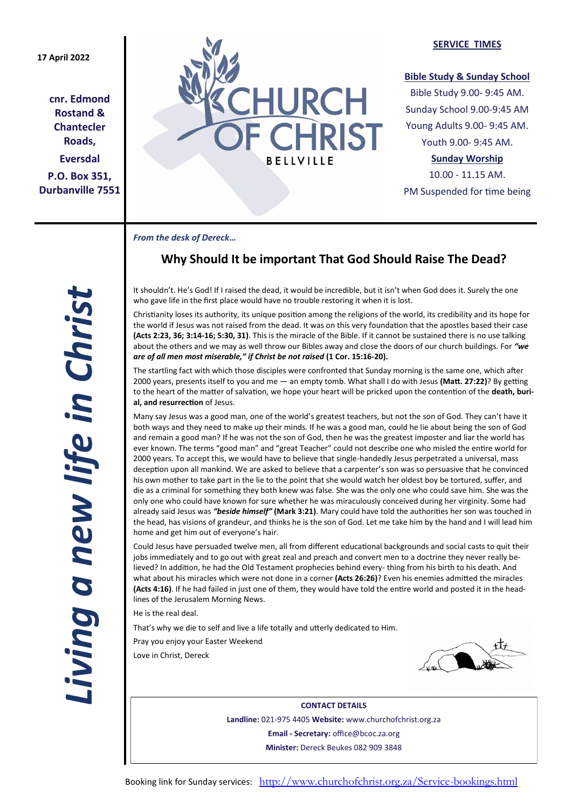**cnr. Edmond Rostand & Chantecler Roads, Eversdal P.O. Box 351, Durbanville 7551**



### **SERVICE TIMES**

### **Bible Study & Sunday School**

Bible Study 9.00- 9:45 AM. Sunday School 9.00-9:45 AM Young Adults 9.00- 9:45 AM. Youth 9.00- 9:45 AM.

## **Sunday Worship**

10.00 - 11.15 AM. PM Suspended for time being

*From the desk of Dereck…* 

# **Why Should It be important That God Should Raise The Dead?**

It shouldn't. He's God! If I raised the dead, it would be incredible, but it isn't when God does it. Surely the one who gave life in the first place would have no trouble restoring it when it is lost.

Christianity loses its authority, its unique position among the religions of the world, its credibility and its hope for the world if Jesus was not raised from the dead. It was on this very foundation that the apostles based their case **(Acts 2:23, 36; 3:14-16; 5:30, 31)**. This is the miracle of the Bible. If it cannot be sustained there is no use talking about the others and we may as well throw our Bibles away and close the doors of our church buildings. For *"we are of all men most miserable," if Christ be not raised* **(1 Cor. 15:16-20).**

The startling fact with which those disciples were confronted that Sunday morning is the same one, which after 2000 years, presents itself to you and me — an empty tomb. What shall I do with Jesus **(Matt. 27:22)**? By getting to the heart of the matter of salvation, we hope your heart will be pricked upon the contention of the **death, burial, and resurrection** of Jesus.

Many say Jesus was a good man, one of the world's greatest teachers, but not the son of God. They can't have it both ways and they need to make up their minds. If he was a good man, could he lie about being the son of God and remain a good man? If he was not the son of God, then he was the greatest imposter and liar the world has ever known. The terms "good man" and "great Teacher" could not describe one who misled the entire world for 2000 years. To accept this, we would have to believe that single-handedly Jesus perpetrated a universal, mass deception upon all mankind. We are asked to believe that a carpenter's son was so persuasive that he convinced his own mother to take part in the lie to the point that she would watch her oldest boy be tortured, suffer, and die as a criminal for something they both knew was false. She was the only one who could save him. She was the only one who could have known for sure whether he was miraculously conceived during her virginity. Some had already said Jesus was *"beside himself"* **(Mark 3:21)**. Mary could have told the authorities her son was touched in the head, has visions of grandeur, and thinks he is the son of God. Let me take him by the hand and I will lead him home and get him out of everyone's hair.

Could Jesus have persuaded twelve men, all from different educational backgrounds and social casts to quit their jobs immediately and to go out with great zeal and preach and convert men to a doctrine they never really believed? In addition, he had the Old Testament prophecies behind every- thing from his birth to his death. And what about his miracles which were not done in a corner **(Acts 26:26)**? Even his enemies admitted the miracles **(Acts 4:16)**. If he had failed in just one of them, they would have told the entire world and posted it in the headlines of the Jerusalem Morning News.

He is the real deal.

That's why we die to self and live a life totally and utterly dedicated to Him.

Pray you enjoy your Easter Weekend Love in Christ, Dereck



**CONTACT DETAILS Landline:** 021-975 4405 **Website:** www.churchofchrist.org.za **Email - Secretary:** office@bcoc.za.org **Minister:** Dereck Beukes 082 909 3848